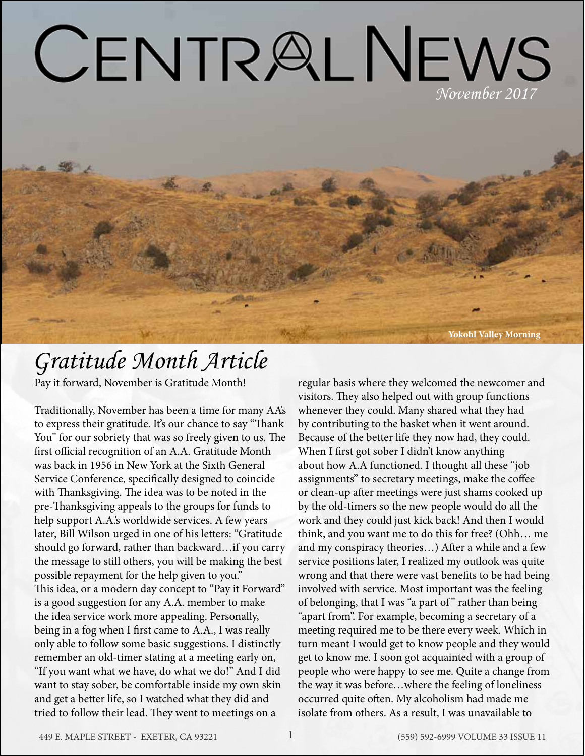# CENTRALNEWS

## *Gratitude Month Article*

Pay it forward, November is Gratitude Month!

Traditionally, November has been a time for many AA's to express their gratitude. It's our chance to say "Thank You" for our sobriety that was so freely given to us. The first official recognition of an A.A. Gratitude Month was back in 1956 in New York at the Sixth General Service Conference, specifically designed to coincide with Thanksgiving. The idea was to be noted in the pre-Thanksgiving appeals to the groups for funds to help support A.A.'s worldwide services. A few years later, Bill Wilson urged in one of his letters: "Gratitude should go forward, rather than backward…if you carry the message to still others, you will be making the best possible repayment for the help given to you." This idea, or a modern day concept to "Pay it Forward" is a good suggestion for any A.A. member to make the idea service work more appealing. Personally, being in a fog when I first came to A.A., I was really only able to follow some basic suggestions. I distinctly remember an old-timer stating at a meeting early on, "If you want what we have, do what we do!" And I did want to stay sober, be comfortable inside my own skin and get a better life, so I watched what they did and tried to follow their lead. They went to meetings on a

regular basis where they welcomed the newcomer and visitors. They also helped out with group functions whenever they could. Many shared what they had by contributing to the basket when it went around. Because of the better life they now had, they could. When I first got sober I didn't know anything about how A.A functioned. I thought all these "job assignments" to secretary meetings, make the coffee or clean-up after meetings were just shams cooked up by the old-timers so the new people would do all the work and they could just kick back! And then I would think, and you want me to do this for free? (Ohh… me and my conspiracy theories…) After a while and a few service positions later, I realized my outlook was quite wrong and that there were vast benefits to be had being involved with service. Most important was the feeling of belonging, that I was "a part of " rather than being "apart from". For example, becoming a secretary of a meeting required me to be there every week. Which in turn meant I would get to know people and they would get to know me. I soon got acquainted with a group of people who were happy to see me. Quite a change from the way it was before…where the feeling of loneliness occurred quite often. My alcoholism had made me isolate from others. As a result, I was unavailable to

**Yokohl Valley Morning**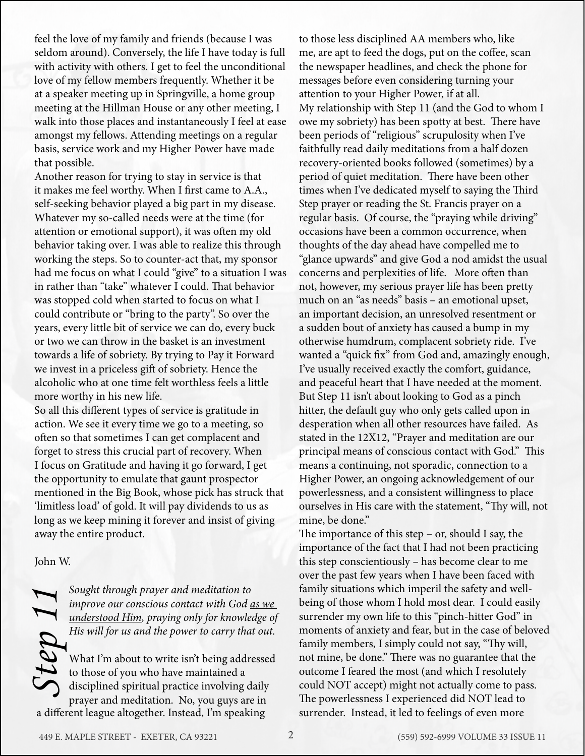feel the love of my family and friends (because I was seldom around). Conversely, the life I have today is full with activity with others. I get to feel the unconditional love of my fellow members frequently. Whether it be at a speaker meeting up in Springville, a home group meeting at the Hillman House or any other meeting, I walk into those places and instantaneously I feel at ease amongst my fellows. Attending meetings on a regular basis, service work and my Higher Power have made that possible.

Another reason for trying to stay in service is that it makes me feel worthy. When I first came to A.A., self-seeking behavior played a big part in my disease. Whatever my so-called needs were at the time (for attention or emotional support), it was often my old behavior taking over. I was able to realize this through working the steps. So to counter-act that, my sponsor had me focus on what I could "give" to a situation I was in rather than "take" whatever I could. That behavior was stopped cold when started to focus on what I could contribute or "bring to the party". So over the years, every little bit of service we can do, every buck or two we can throw in the basket is an investment towards a life of sobriety. By trying to Pay it Forward we invest in a priceless gift of sobriety. Hence the alcoholic who at one time felt worthless feels a little more worthy in his new life.

So all this different types of service is gratitude in action. We see it every time we go to a meeting, so often so that sometimes I can get complacent and forget to stress this crucial part of recovery. When I focus on Gratitude and having it go forward, I get the opportunity to emulate that gaunt prospector mentioned in the Big Book, whose pick has struck that 'limitless load' of gold. It will pay dividends to us as long as we keep mining it forever and insist of giving away the entire product.

#### John W.

*improve our conscious contact with God as we understood Him, praying only for knowledge of His will for us and the power to carry that out.*

What I'm about to write isn't being addressed to those of you who have maintained a disciplined spiritual practice involving daily prayer and meditation. No, you guys are in a different league altogether. Instead, I'm speaking

to those less disciplined AA members who, like me, are apt to feed the dogs, put on the coffee, scan the newspaper headlines, and check the phone for messages before even considering turning your attention to your Higher Power, if at all. My relationship with Step 11 (and the God to whom I owe my sobriety) has been spotty at best. There have been periods of "religious" scrupulosity when I've faithfully read daily meditations from a half dozen recovery-oriented books followed (sometimes) by a period of quiet meditation. There have been other times when I've dedicated myself to saying the Third Step prayer or reading the St. Francis prayer on a regular basis. Of course, the "praying while driving" occasions have been a common occurrence, when thoughts of the day ahead have compelled me to "glance upwards" and give God a nod amidst the usual concerns and perplexities of life. More often than not, however, my serious prayer life has been pretty much on an "as needs" basis – an emotional upset, an important decision, an unresolved resentment or a sudden bout of anxiety has caused a bump in my otherwise humdrum, complacent sobriety ride. I've wanted a "quick fix" from God and, amazingly enough, I've usually received exactly the comfort, guidance, and peaceful heart that I have needed at the moment. But Step 11 isn't about looking to God as a pinch hitter, the default guy who only gets called upon in desperation when all other resources have failed. As stated in the 12X12, "Prayer and meditation are our principal means of conscious contact with God." This means a continuing, not sporadic, connection to a Higher Power, an ongoing acknowledgement of our powerlessness, and a consistent willingness to place ourselves in His care with the statement, "Thy will, not mine, be done."

Sought through prayer and meditation to<br>
improve our conscious contact with God <u>as we</u><br>
understood Him, praying only for knowledge of<br>
His will for us and the power to carry that out.<br>
His will for us and the power to car The importance of this step – or, should I say, the importance of the fact that I had not been practicing this step conscientiously – has become clear to me over the past few years when I have been faced with family situations which imperil the safety and wellbeing of those whom I hold most dear. I could easily surrender my own life to this "pinch-hitter God" in moments of anxiety and fear, but in the case of beloved family members, I simply could not say, "Thy will, not mine, be done." There was no guarantee that the outcome I feared the most (and which I resolutely could NOT accept) might not actually come to pass. The powerlessness I experienced did NOT lead to surrender. Instead, it led to feelings of even more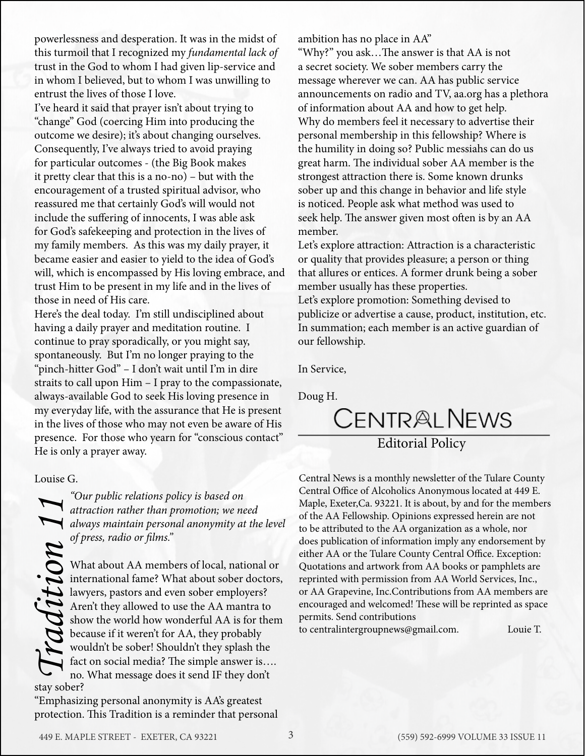powerlessness and desperation. It was in the midst of this turmoil that I recognized my *fundamental lack of*  trust in the God to whom I had given lip-service and in whom I believed, but to whom I was unwilling to entrust the lives of those I love.

I've heard it said that prayer isn't about trying to "change" God (coercing Him into producing the outcome we desire); it's about changing ourselves. Consequently, I've always tried to avoid praying for particular outcomes - (the Big Book makes it pretty clear that this is a no-no) – but with the encouragement of a trusted spiritual advisor, who reassured me that certainly God's will would not include the suffering of innocents, I was able ask for God's safekeeping and protection in the lives of my family members. As this was my daily prayer, it became easier and easier to yield to the idea of God's will, which is encompassed by His loving embrace, and trust Him to be present in my life and in the lives of those in need of His care.

Here's the deal today. I'm still undisciplined about having a daily prayer and meditation routine. I continue to pray sporadically, or you might say, spontaneously. But I'm no longer praying to the "pinch-hitter God" – I don't wait until I'm in dire straits to call upon Him – I pray to the compassionate, always-available God to seek His loving presence in my everyday life, with the assurance that He is present in the lives of those who may not even be aware of His presence. For those who yearn for "conscious contact" He is only a prayer away.

Louise G.

*attraction rather than promotion; we need always maintain personal anonymity at the level of press, radio or films."*

*Traditions policy is based on*<br>*Tradition rather than promotion; we need always maintain personal anonymity at*<br>*Of press, radio or films.*<br>*Traditions or films.*<br>What about AA members of local, national international fam What about AA members of local, national or international fame? What about sober doctors, lawyers, pastors and even sober employers? Aren't they allowed to use the AA mantra to show the world how wonderful AA is for them because if it weren't for AA, they probably wouldn't be sober! Shouldn't they splash the fact on social media? The simple answer is…. no. What message does it send IF they don't stay sober?

"Emphasizing personal anonymity is AA's greatest protection. This Tradition is a reminder that personal ambition has no place in AA"

"Why?" you ask…The answer is that AA is not a secret society. We sober members carry the message wherever we can. AA has public service announcements on radio and TV, aa.org has a plethora of information about AA and how to get help. Why do members feel it necessary to advertise their personal membership in this fellowship? Where is the humility in doing so? Public messiahs can do us great harm. The individual sober AA member is the strongest attraction there is. Some known drunks sober up and this change in behavior and life style is noticed. People ask what method was used to seek help. The answer given most often is by an AA member.

Let's explore attraction: Attraction is a characteristic or quality that provides pleasure; a person or thing that allures or entices. A former drunk being a sober member usually has these properties.

Let's explore promotion: Something devised to publicize or advertise a cause, product, institution, etc. In summation; each member is an active guardian of our fellowship.

In Service,

Doug H.

### CENTRALNEWS Editorial Policy

Central News is a monthly newsletter of the Tulare County Central Office of Alcoholics Anonymous located at 449 E. Maple, Exeter,Ca. 93221. It is about, by and for the members of the AA Fellowship. Opinions expressed herein are not to be attributed to the AA organization as a whole, nor does publication of information imply any endorsement by either AA or the Tulare County Central Office. Exception: Quotations and artwork from AA books or pamphlets are reprinted with permission from AA World Services, Inc., or AA Grapevine, Inc.Contributions from AA members are encouraged and welcomed! These will be reprinted as space permits. Send contributions

to centralintergroupnews@gmail.com. Louie T.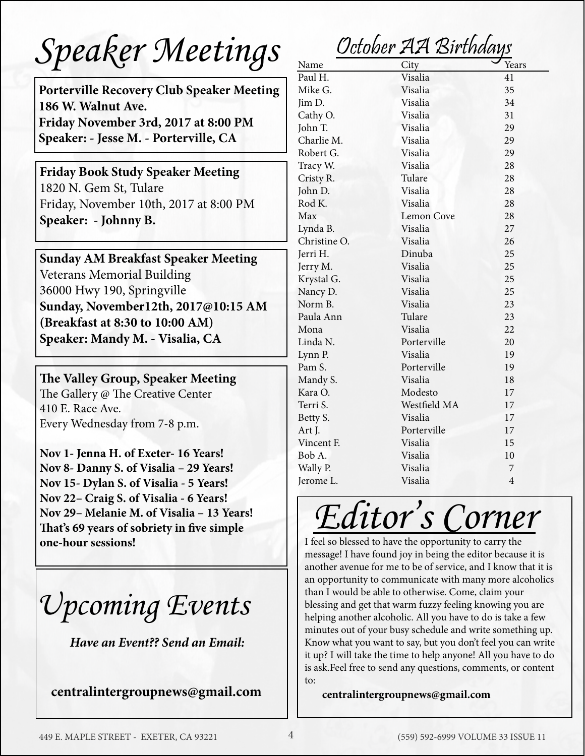# *Speaker Meetings*

**Porterville Recovery Club Speaker Meeting 186 W. Walnut Ave. Friday November 3rd, 2017 at 8:00 PM Speaker: - Jesse M. - Porterville, CA**

**Friday Book Study Speaker Meeting** 1820 N. Gem St, Tulare Friday, November 10th, 2017 at 8:00 PM **Speaker: - Johnny B.**

**Sunday AM Breakfast Speaker Meeting** Veterans Memorial Building 36000 Hwy 190, Springville **Sunday, November12th, 2017@10:15 AM (Breakfast at 8:30 to 10:00 AM) Speaker: Mandy M. - Visalia, CA**

**The Valley Group, Speaker Meeting** The Gallery @ The Creative Center 410 E. Race Ave. Every Wednesday from 7-8 p.m.

**Nov 1- Jenna H. of Exeter- 16 Years! Nov 8- Danny S. of Visalia – 29 Years! Nov 15- Dylan S. of Visalia - 5 Years! Nov 22– Craig S. of Visalia - 6 Years! Nov 29– Melanie M. of Visalia – 13 Years! That's 69 years of sobriety in five simple one-hour sessions!**

*Upcoming Events*

*Have an Event?? Send an Email:*

**centralintergroupnews@gmail.com**

October AA Birthdays

| <b>UUUNUI</b><br>- 12   12/1<br><i>UTTUTUT</i> |                   |                |  |  |
|------------------------------------------------|-------------------|----------------|--|--|
| Name                                           | City              | Years          |  |  |
| Paul H.                                        | Visalia           | 41             |  |  |
| Mike G.                                        | Visalia           | 35             |  |  |
| Jim D.                                         | Visalia           | 34             |  |  |
| Cathy O.                                       | Visalia           | 31             |  |  |
| John T.                                        | Visalia           | 29             |  |  |
| Charlie M.                                     | Visalia           | 29             |  |  |
| Robert G.                                      | Visalia           | 29             |  |  |
| Tracy W.                                       | Visalia           | 28             |  |  |
| Cristy R.                                      | Tulare            | 28             |  |  |
| John D.                                        | Visalia           | 28             |  |  |
| Rod K.                                         | Visalia           | 28             |  |  |
| Max                                            | <b>Lemon Cove</b> | 28             |  |  |
| Lynda B.                                       | Visalia           | 27             |  |  |
| Christine O.                                   | Visalia           | 26             |  |  |
| Jerri H.                                       | Dinuba            | 25             |  |  |
| Jerry M.                                       | Visalia           | 25             |  |  |
| Krystal G.                                     | Visalia           | 25             |  |  |
| Nancy D.                                       | Visalia           | 25             |  |  |
| Norm B.                                        | Visalia           | 23             |  |  |
| Paula Ann                                      | Tulare            | 23             |  |  |
| Mona                                           | Visalia           | 22             |  |  |
| Linda N.                                       | Porterville       | 20             |  |  |
| Lynn P.                                        | Visalia           | 19             |  |  |
| Pam S.                                         | Porterville       | 19             |  |  |
| Mandy S.                                       | Visalia           | 18             |  |  |
| Kara O.                                        | Modesto           | 17             |  |  |
| Terri S.                                       | Westfield MA      | 17             |  |  |
| Betty S.                                       | Visalia           | 17             |  |  |
| Art J.                                         | Porterville       | 17             |  |  |
| Vincent F.                                     | Visalia           | 15             |  |  |
| Bob A.                                         | Visalia           | 10             |  |  |
| Wally P.                                       | Visalia           | 7              |  |  |
| Jerome L.                                      | Visalia           | $\overline{4}$ |  |  |

# *Editor's Corner*

I feel so blessed to have the opportunity to carry the message! I have found joy in being the editor because it is another avenue for me to be of service, and I know that it is an opportunity to communicate with many more alcoholics than I would be able to otherwise. Come, claim your blessing and get that warm fuzzy feeling knowing you are helping another alcoholic. All you have to do is take a few minutes out of your busy schedule and write something up. Know what you want to say, but you don't feel you can write it up? I will take the time to help anyone! All you have to do is ask.Feel free to send any questions, comments, or content to:

#### **centralintergroupnews@gmail.com**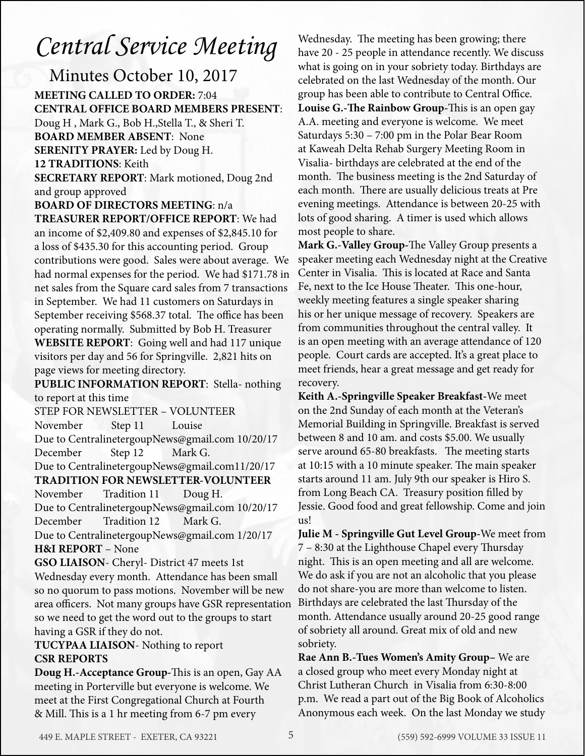## *Central Service Meeting*

Minutes October 10, 2017 **MEETING CALLED TO ORDER:** 7:04 **CENTRAL OFFICE BOARD MEMBERS PRESENT**: Doug H , Mark G., Bob H.,Stella T., & Sheri T. **BOARD MEMBER ABSENT**: None **SERENITY PRAYER:** Led by Doug H. **12 TRADITIONS**: Keith **SECRETARY REPORT**: Mark motioned, Doug 2nd and group approved

**BOARD OF DIRECTORS MEETING**: n/a **TREASURER REPORT/OFFICE REPORT**: We had an income of \$2,409.80 and expenses of \$2,845.10 for a loss of \$435.30 for this accounting period. Group contributions were good. Sales were about average. We had normal expenses for the period. We had \$171.78 in net sales from the Square card sales from 7 transactions in September. We had 11 customers on Saturdays in September receiving \$568.37 total. The office has been operating normally. Submitted by Bob H. Treasurer **WEBSITE REPORT**: Going well and had 117 unique visitors per day and 56 for Springville. 2,821 hits on page views for meeting directory.

**PUBLIC INFORMATION REPORT**: Stella- nothing to report at this time

STEP FOR NEWSLETTER – VOLUNTEER November Step 11 Louise Due to CentralinetergoupNews@gmail.com 10/20/17 December Step 12 Mark G. Due to CentralinetergoupNews@gmail.com11/20/17 **TRADITION FOR NEWSLETTER-VOLUNTEER**

November Tradition 11 Doug H. Due to CentralinetergoupNews@gmail.com 10/20/17 December Tradition 12 Mark G.

Due to CentralinetergoupNews@gmail.com 1/20/17 **H&I REPORT** – None

**GSO LIAISON**- Cheryl- District 47 meets 1st Wednesday every month. Attendance has been small so no quorum to pass motions. November will be new area officers. Not many groups have GSR representation so we need to get the word out to the groups to start having a GSR if they do not.

#### **TUCYPAA LIAISON**- Nothing to report **CSR REPORTS**

**Doug H.-Acceptance Group-**This is an open, Gay AA meeting in Porterville but everyone is welcome. We meet at the First Congregational Church at Fourth & Mill. This is a 1 hr meeting from 6-7 pm every

Wednesday. The meeting has been growing; there have 20 - 25 people in attendance recently. We discuss what is going on in your sobriety today. Birthdays are celebrated on the last Wednesday of the month. Our group has been able to contribute to Central Office. **Louise G.-The Rainbow Group-**This is an open gay A.A. meeting and everyone is welcome. We meet Saturdays 5:30 – 7:00 pm in the Polar Bear Room at Kaweah Delta Rehab Surgery Meeting Room in Visalia- birthdays are celebrated at the end of the month. The business meeting is the 2nd Saturday of each month. There are usually delicious treats at Pre evening meetings. Attendance is between 20-25 with lots of good sharing. A timer is used which allows most people to share.

**Mark G.-Valley Group-**The Valley Group presents a speaker meeting each Wednesday night at the Creative Center in Visalia. This is located at Race and Santa Fe, next to the Ice House Theater. This one-hour, weekly meeting features a single speaker sharing his or her unique message of recovery. Speakers are from communities throughout the central valley. It is an open meeting with an average attendance of 120 people. Court cards are accepted. It's a great place to meet friends, hear a great message and get ready for recovery.

**Keith A.-Springville Speaker Breakfast-**We meet on the 2nd Sunday of each month at the Veteran's Memorial Building in Springville. Breakfast is served between 8 and 10 am. and costs \$5.00. We usually serve around 65-80 breakfasts. The meeting starts at 10:15 with a 10 minute speaker. The main speaker starts around 11 am. July 9th our speaker is Hiro S. from Long Beach CA. Treasury position filled by Jessie. Good food and great fellowship. Come and join us!

**Julie M - Springville Gut Level Group-**We meet from 7 – 8:30 at the Lighthouse Chapel every Thursday night. This is an open meeting and all are welcome. We do ask if you are not an alcoholic that you please do not share-you are more than welcome to listen. Birthdays are celebrated the last Thursday of the month. Attendance usually around 20-25 good range of sobriety all around. Great mix of old and new sobriety.

**Rae Ann B.-Tues Women's Amity Group–** We are a closed group who meet every Monday night at Christ Lutheran Church in Visalia from 6:30-8:00 p.m. We read a part out of the Big Book of Alcoholics Anonymous each week. On the last Monday we study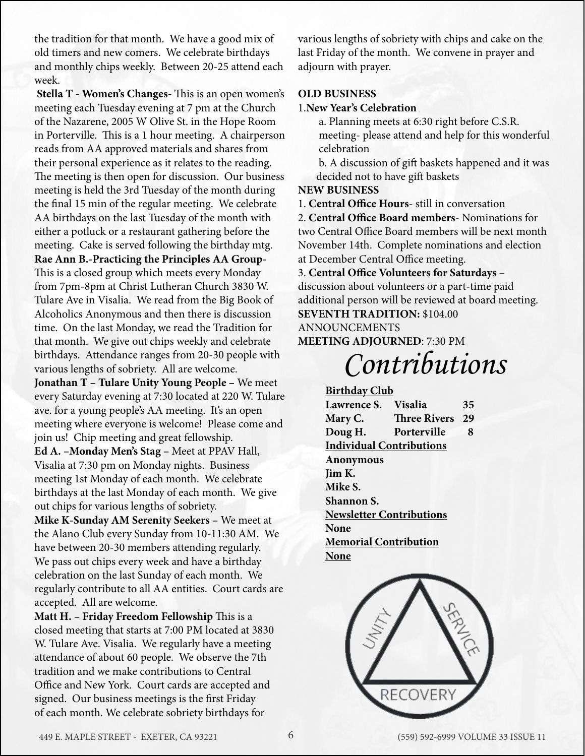the tradition for that month. We have a good mix of old timers and new comers. We celebrate birthdays and monthly chips weekly. Between 20-25 attend each week.

 **Stella T - Women's Changes-** This is an open women's meeting each Tuesday evening at 7 pm at the Church of the Nazarene, 2005 W Olive St. in the Hope Room in Porterville. This is a 1 hour meeting. A chairperson reads from AA approved materials and shares from their personal experience as it relates to the reading. The meeting is then open for discussion. Our business meeting is held the 3rd Tuesday of the month during the final 15 min of the regular meeting. We celebrate AA birthdays on the last Tuesday of the month with either a potluck or a restaurant gathering before the meeting. Cake is served following the birthday mtg. **Rae Ann B.-Practicing the Principles AA Group-**This is a closed group which meets every Monday from 7pm-8pm at Christ Lutheran Church 3830 W. Tulare Ave in Visalia. We read from the Big Book of Alcoholics Anonymous and then there is discussion time. On the last Monday, we read the Tradition for that month. We give out chips weekly and celebrate birthdays. Attendance ranges from 20-30 people with various lengths of sobriety. All are welcome. **Jonathan T – Tulare Unity Young People –** We meet

every Saturday evening at 7:30 located at 220 W. Tulare ave. for a young people's AA meeting. It's an open meeting where everyone is welcome! Please come and join us! Chip meeting and great fellowship.

**Ed A. –Monday Men's Stag –** Meet at PPAV Hall, Visalia at 7:30 pm on Monday nights. Business meeting 1st Monday of each month. We celebrate birthdays at the last Monday of each month. We give out chips for various lengths of sobriety.

**Mike K-Sunday AM Serenity Seekers –** We meet at the Alano Club every Sunday from 10-11:30 AM. We have between 20-30 members attending regularly. We pass out chips every week and have a birthday celebration on the last Sunday of each month. We regularly contribute to all AA entities. Court cards are accepted. All are welcome.

**Matt H. – Friday Freedom Fellowship** This is a closed meeting that starts at 7:00 PM located at 3830 W. Tulare Ave. Visalia. We regularly have a meeting attendance of about 60 people. We observe the 7th tradition and we make contributions to Central Office and New York. Court cards are accepted and signed. Our business meetings is the first Friday of each month. We celebrate sobriety birthdays for

various lengths of sobriety with chips and cake on the last Friday of the month. We convene in prayer and adjourn with prayer.

#### **OLD BUSINESS**

#### 1.**New Year's Celebration**

 a. Planning meets at 6:30 right before C.S.R. meeting- please attend and help for this wonderful celebration

 b. A discussion of gift baskets happened and it was decided not to have gift baskets

#### **NEW BUSINESS**

1. **Central Office Hours**- still in conversation

2. **Central Office Board members**- Nominations for two Central Office Board members will be next month November 14th. Complete nominations and election at December Central Office meeting.

3. **Central Office Volunteers for Saturdays** – discussion about volunteers or a part-time paid additional person will be reviewed at board meeting. **SEVENTH TRADITION:** \$104.00

#### ANNOUNCEMENTS

**MEETING ADJOURNED**: 7:30 PM

*Contributions*

#### **Birthday Club Lawrence S. Visalia 35 Mary C. Three Rivers 29 Doug H. Porterville 8 Individual Contributions Anonymous Jim K. Mike S. Shannon S. Newsletter Contributions None Memorial Contribution None**

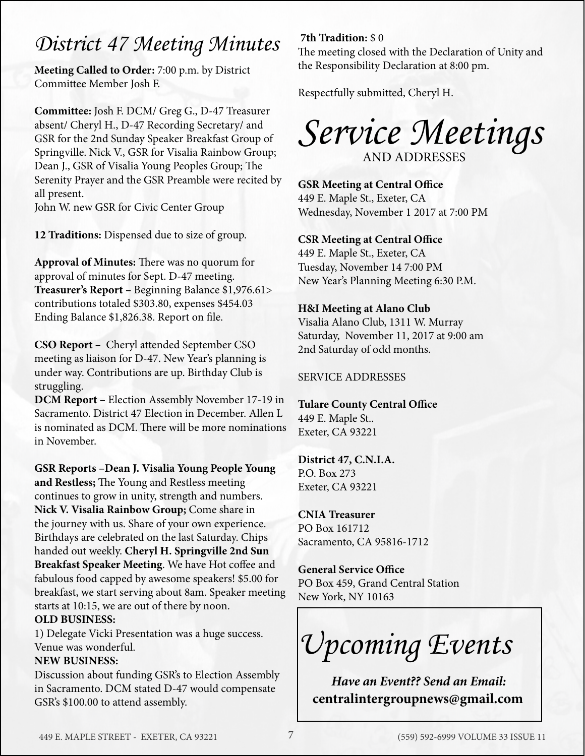### *District 47 Meeting Minutes* **7th Tradition:** \$ 0

**Meeting Called to Order:** 7:00 p.m. by District Committee Member Josh F.

**Committee:** Josh F. DCM/ Greg G., D-47 Treasurer absent/ Cheryl H., D-47 Recording Secretary/ and GSR for the 2nd Sunday Speaker Breakfast Group of Springville. Nick V., GSR for Visalia Rainbow Group; Dean J., GSR of Visalia Young Peoples Group; The Serenity Prayer and the GSR Preamble were recited by all present.

John W. new GSR for Civic Center Group

**12 Traditions:** Dispensed due to size of group.

**Approval of Minutes:** There was no quorum for approval of minutes for Sept. D-47 meeting. **Treasurer's Report –** Beginning Balance \$1,976.61> contributions totaled \$303.80, expenses \$454.03 Ending Balance \$1,826.38. Report on file.

**CSO Report –** Cheryl attended September CSO meeting as liaison for D-47. New Year's planning is under way. Contributions are up. Birthday Club is struggling.

**DCM Report –** Election Assembly November 17-19 in Sacramento. District 47 Election in December. Allen L is nominated as DCM. There will be more nominations in November.

**GSR Reports –Dean J. Visalia Young People Young and Restless;** The Young and Restless meeting continues to grow in unity, strength and numbers. **Nick V. Visalia Rainbow Group;** Come share in the journey with us. Share of your own experience. Birthdays are celebrated on the last Saturday. Chips handed out weekly. **Cheryl H. Springville 2nd Sun Breakfast Speaker Meeting**. We have Hot coffee and fabulous food capped by awesome speakers! \$5.00 for breakfast, we start serving about 8am. Speaker meeting starts at 10:15, we are out of there by noon.

#### **OLD BUSINESS:**

1) Delegate Vicki Presentation was a huge success. Venue was wonderful.

#### **NEW BUSINESS:**

Discussion about funding GSR's to Election Assembly in Sacramento. DCM stated D-47 would compensate GSR's \$100.00 to attend assembly.

The meeting closed with the Declaration of Unity and the Responsibility Declaration at 8:00 pm.

Respectfully submitted, Cheryl H.



**GSR Meeting at Central Office** 449 E. Maple St., Exeter, CA Wednesday, November 1 2017 at 7:00 PM

#### **CSR Meeting at Central Office**

449 E. Maple St., Exeter, CA Tuesday, November 14 7:00 PM New Year's Planning Meeting 6:30 P.M.

#### **H&I Meeting at Alano Club**

Visalia Alano Club, 1311 W. Murray Saturday, November 11, 2017 at 9:00 am 2nd Saturday of odd months.

#### SERVICE ADDRESSES

#### **Tulare County Central Office**

449 E. Maple St.. Exeter, CA 93221

### **District 47, C.N.I.A.**

P.O. Box 273 Exeter, CA 93221

**CNIA Treasurer** PO Box 161712 Sacramento, CA 95816-1712

**General Service Office** PO Box 459, Grand Central Station New York, NY 10163

*Upcoming Events*

 *Have an Event?? Send an Email:* **centralintergroupnews@gmail.com**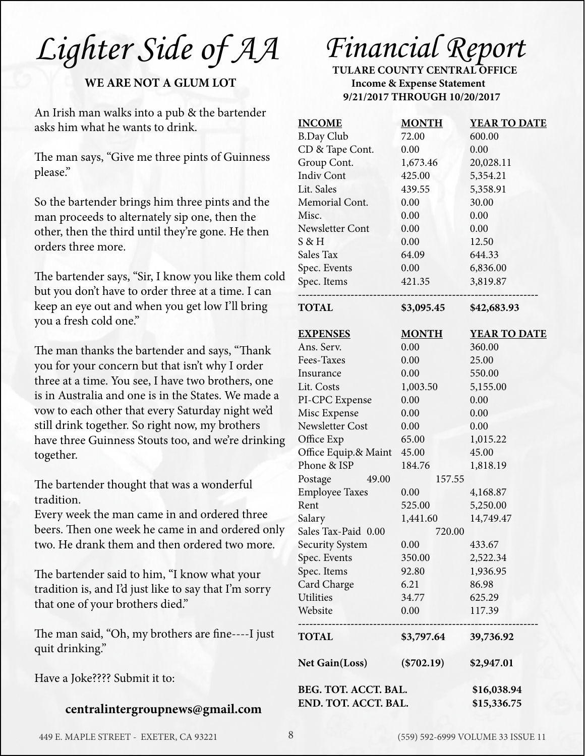*Lighter Side of AA*

#### **WE ARE NOT A GLUM LOT**

An Irish man walks into a pub & the bartender asks him what he wants to drink.

The man says, "Give me three pints of Guinness please."

So the bartender brings him three pints and the man proceeds to alternately sip one, then the other, then the third until they're gone. He then orders three more.

The bartender says, "Sir, I know you like them cold but you don't have to order three at a time. I can keep an eye out and when you get low I'll bring you a fresh cold one."

The man thanks the bartender and says, "Thank you for your concern but that isn't why I order three at a time. You see, I have two brothers, one is in Australia and one is in the States. We made a vow to each other that every Saturday night we'd still drink together. So right now, my brothers have three Guinness Stouts too, and we're drinking together.

The bartender thought that was a wonderful tradition.

Every week the man came in and ordered three beers. Then one week he came in and ordered only two. He drank them and then ordered two more.

The bartender said to him, "I know what your tradition is, and I'd just like to say that I'm sorry that one of your brothers died."

The man said, "Oh, my brothers are fine----I just quit drinking."

Have a Joke???? Submit it to:

#### **centralintergroupnews@gmail.com**

# *Financial Report*

**TULARE COUNTY CENTRAL OFFICE Income & Expense Statement 9/21/2017 THROUGH 10/20/2017** 

| <b>INCOME</b>         | <b>MONTH</b> | <b>YEAR TO DATE</b> |
|-----------------------|--------------|---------------------|
| <b>B.Day Club</b>     | 72.00        | 600.00              |
| CD & Tape Cont.       | 0.00         | 0.00                |
| Group Cont.           | 1,673.46     | 20,028.11           |
| <b>Indiv Cont</b>     | 425.00       | 5,354.21            |
| Lit. Sales            | 439.55       | 5,358.91            |
| Memorial Cont.        | 0.00         | 30.00               |
| Misc.                 | 0.00         | 0.00                |
| Newsletter Cont       | 0.00         | 0.00                |
| S & H                 | 0.00         | 12.50               |
| Sales Tax             | 64.09        | 644.33              |
| Spec. Events          | 0.00         | 6,836.00            |
| Spec. Items           | 421.35       | 3,819.87            |
| <b>TOTAL</b>          | \$3,095.45   | \$42,683.93         |
| <b>EXPENSES</b>       | <b>MONTH</b> | <b>YEAR TO DATE</b> |
| Ans. Serv.            | 0.00         | 360.00              |
| Fees-Taxes            | 0.00         | 25.00               |
| Insurance             | 0.00         | 550.00              |
| Lit. Costs            | 1,003.50     | 5,155.00            |
| PI-CPC Expense        | 0.00         | 0.00                |
| Misc Expense          | 0.00         | 0.00                |
| Newsletter Cost       | 0.00         | 0.00                |
| Office Exp            | 65.00        | 1,015.22            |
| Office Equip.& Maint  | 45.00        | 45.00               |
| Phone & ISP           | 184.76       | 1,818.19            |
| Postage<br>49.00      |              | 157.55              |
| <b>Employee Taxes</b> | 0.00         | 4,168.87            |
| Rent                  | 525.00       | 5,250.00            |
| Salary                | 1,441.60     | 14,749.47           |
| Sales Tax-Paid 0.00   |              | 720.00              |
| Security System       | $0.00\,$     | 433.67              |
| Spec. Events          | 350.00       | 2,522.34            |
| Spec. Items           | 92.80        | 1,936.95            |
| Card Charge           | 6.21         | 86.98               |
| Utilities             | 34.77        | 625.29              |
| Website               | 0.00         | 117.39              |
| <b>TOTAL</b>          | \$3,797.64   | 39,736.92           |
| <b>Net Gain(Loss)</b> | $(*702.19)$  | \$2,947.01          |
| BEG. TOT. ACCT. BAL.  | \$16,038.94  |                     |
| END. TOT. ACCT. BAL.  |              | \$15,336.75         |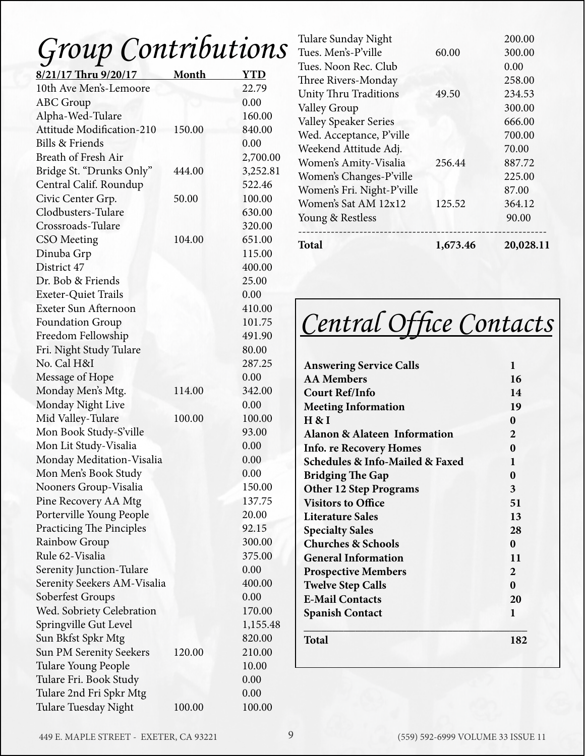# *Group Contributions*

| 8/21/17 Thru 9/20/17             | Month  | <b>YTD</b> |
|----------------------------------|--------|------------|
| 10th Ave Men's-Lemoore           |        | 22.79      |
| <b>ABC</b> Group                 |        | 0.00       |
| Alpha-Wed-Tulare                 |        | 160.00     |
| <b>Attitude Modification-210</b> | 150.00 | 840.00     |
| <b>Bills &amp; Friends</b>       |        | 0.00       |
| <b>Breath of Fresh Air</b>       |        | 2,700.00   |
| Bridge St. "Drunks Only"         | 444.00 | 3,252.81   |
| Central Calif. Roundup           |        | 522.46     |
| Civic Center Grp.                | 50.00  | 100.00     |
| Clodbusters-Tulare               |        | 630.00     |
| Crossroads-Tulare                |        | 320.00     |
| <b>CSO</b> Meeting               | 104.00 | 651.00     |
| Dinuba Grp                       |        | 115.00     |
| District 47                      |        | 400.00     |
| Dr. Bob & Friends                |        | 25.00      |
| <b>Exeter-Quiet Trails</b>       |        | 0.00       |
| Exeter Sun Afternoon             |        | 410.00     |
| <b>Foundation Group</b>          |        | 101.75     |
| Freedom Fellowship               |        | 491.90     |
| Fri. Night Study Tulare          |        | 80.00      |
| No. Cal H&I                      |        | 287.25     |
| Message of Hope                  |        | 0.00       |
| Monday Men's Mtg.                | 114.00 | 342.00     |
| Monday Night Live                |        | 0.00       |
| Mid Valley-Tulare                | 100.00 | 100.00     |
| Mon Book Study-S'ville           |        | 93.00      |
| Mon Lit Study-Visalia            |        | 0.00       |
| Monday Meditation-Visalia        |        | 0.00       |
| Mon Men's Book Study             |        | 0.00       |
| Nooners Group-Visalia            |        | 150.00     |
| Pine Recovery AA Mtg             |        | 137.75     |
| Porterville Young People         |        | 20.00      |
| <b>Practicing The Pinciples</b>  |        | 92.15      |
| Rainbow Group                    |        | 300.00     |
| Rule 62-Visalia                  |        | 375.00     |
| Serenity Junction-Tulare         |        | 0.00       |
| Serenity Seekers AM-Visalia      |        | 400.00     |
| Soberfest Groups                 |        | 0.00       |
| Wed. Sobriety Celebration        |        | 170.00     |
| Springville Gut Level            |        | 1,155.48   |
| Sun Bkfst Spkr Mtg               |        | 820.00     |
| Sun PM Serenity Seekers          | 120.00 | 210.00     |
| Tulare Young People              |        | 10.00      |
| Tulare Fri. Book Study           |        | 0.00       |
| Tulare 2nd Fri Spkr Mtg          |        | 0.00       |
| Tulare Tuesday Night             | 100.00 | 100.00     |

| Total                        | 1,673.46 | 20,028.11 |
|------------------------------|----------|-----------|
| Young & Restless             |          | 90.00     |
| Women's Sat AM 12x12         | 125.52   | 364.12    |
| Women's Fri. Night-P'ville   |          | 87.00     |
| Women's Changes-P'ville      |          | 225.00    |
| Women's Amity-Visalia        | 256.44   | 887.72    |
| Weekend Attitude Adj.        |          | 70.00     |
| Wed. Acceptance, P'ville     |          | 700.00    |
| <b>Valley Speaker Series</b> |          | 666.00    |
| <b>Valley Group</b>          |          | 300.00    |
| <b>Unity Thru Traditions</b> | 49.50    | 234.53    |
| Three Rivers-Monday          |          | 258.00    |
| Tues, Noon Rec. Club         |          | 0.00      |
| Tues. Men's-P'ville          | 60.00    | 300.00    |
| Tulare Sunday Night          |          | 200.00    |

*Central Office Contacts* 

| <b>Answering Service Calls</b>                 | 1        |
|------------------------------------------------|----------|
| <b>AA</b> Members                              | 16       |
| <b>Court Ref/Info</b>                          | 14       |
| <b>Meeting Information</b>                     | 19       |
| H & I                                          | 0        |
| <b>Alanon &amp; Alateen Information</b>        | 2        |
| <b>Info. re Recovery Homes</b>                 | 0        |
| <b>Schedules &amp; Info-Mailed &amp; Faxed</b> | 1        |
| <b>Bridging The Gap</b>                        | 0        |
| <b>Other 12 Step Programs</b>                  | 3        |
| <b>Visitors to Office</b>                      | 51       |
| Literature Sales                               | 13       |
| <b>Specialty Sales</b>                         | 28       |
| <b>Churches &amp; Schools</b>                  | $\Omega$ |
| <b>General Information</b>                     | 11       |
| <b>Prospective Members</b>                     | 2        |
| <b>Twelve Step Calls</b>                       | 0        |
| <b>E-Mail Contacts</b>                         | 20       |
| <b>Spanish Contact</b>                         | 1        |
| Total                                          | 182      |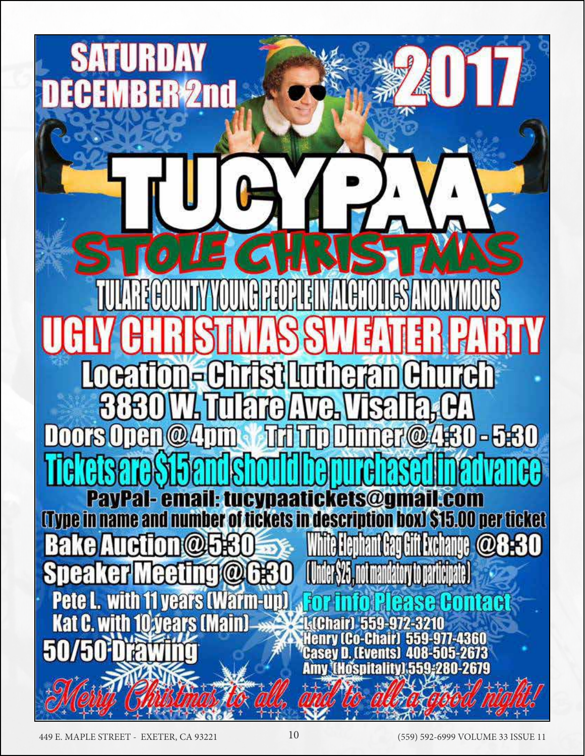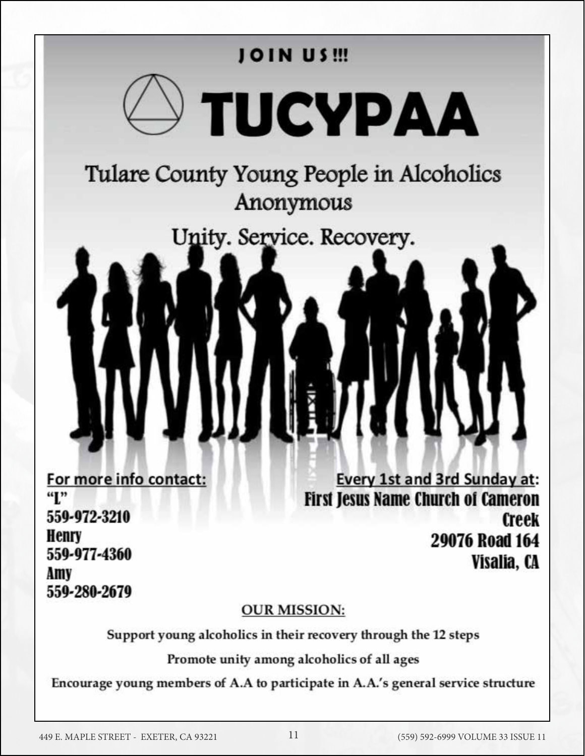

559-977-4360 Amv 559-280-2679 Visalia, CA

#### **OUR MISSION:**

Support young alcoholics in their recovery through the 12 steps

Promote unity among alcoholics of all ages

Encourage young members of A.A to participate in A.A.'s general service structure